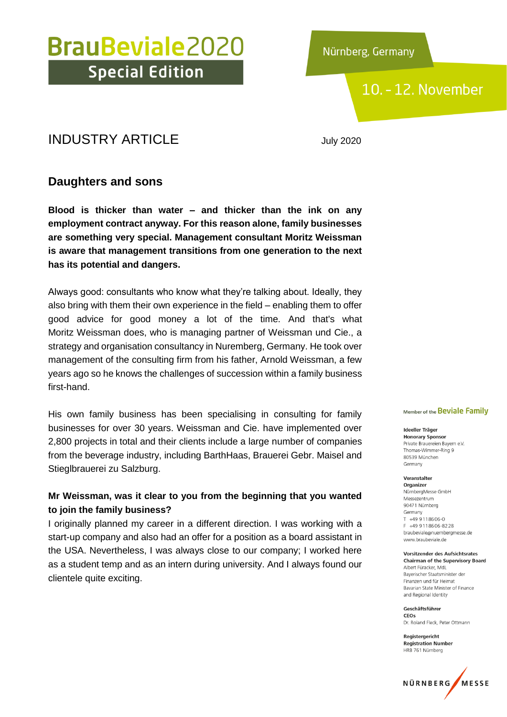Nürnberg, Germany

### 10. - 12. November

### INDUSTRY ARTICLE July 2020

### **Daughters and sons**

**Blood is thicker than water – and thicker than the ink on any employment contract anyway. For this reason alone, family businesses are something very special. Management consultant Moritz Weissman is aware that management transitions from one generation to the next has its potential and dangers.**

Always good: consultants who know what they're talking about. Ideally, they also bring with them their own experience in the field – enabling them to offer good advice for good money a lot of the time. And that's what Moritz Weissman does, who is managing partner of Weissman und Cie., a strategy and organisation consultancy in Nuremberg, Germany. He took over management of the consulting firm from his father, Arnold Weissman, a few years ago so he knows the challenges of succession within a family business first-hand.

His own family business has been specialising in consulting for family businesses for over 30 years. Weissman and Cie. have implemented over 2,800 projects in total and their clients include a large number of companies from the beverage industry, including BarthHaas, Brauerei Gebr. Maisel and Stieglbrauerei zu Salzburg.

### **Mr Weissman, was it clear to you from the beginning that you wanted to join the family business?**

I originally planned my career in a different direction. I was working with a start-up company and also had an offer for a position as a board assistant in the USA. Nevertheless, I was always close to our company; I worked here as a student temp and as an intern during university. And I always found our clientele quite exciting.

#### Member of the Beviale Family

Ideeller Träger **Honorary Sponsor** Private Brauereien Bayern e.V. Thomas-Wimmer-Ring 9 80539 München Germany

Veranstalter Organizer NürnbergMesse GmbH Messezentrum 90471 Nürnberg Germany  $T$  +49 9118606-0 F +49 9 11 8 6 0 6 - 8 2 2 8 braubeviale@nuernbergmesse.de www.braubeviale.de

Vorsitzender des Aufsichtsrates **Chairman of the Supervisory Board** Albert Füracker, Mdl Bayerischer Staatsminister der Finanzen und für Heimat Bavarian State Minister of Finance and Regional Identity

Geschäftsführer CEOS Dr. Roland Eleck, Peter Ottmann

Registergericht **Registration Number** HRB 761 Nürnberg

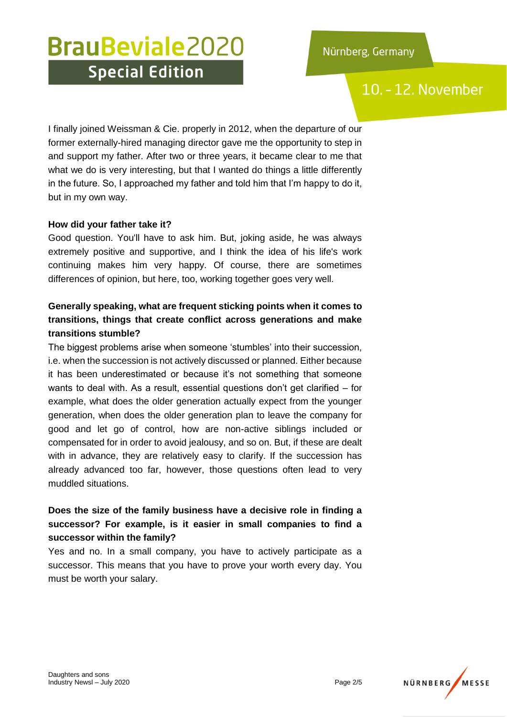### 10. - 12. November

I finally joined Weissman & Cie. properly in 2012, when the departure of our former externally-hired managing director gave me the opportunity to step in and support my father. After two or three years, it became clear to me that what we do is very interesting, but that I wanted do things a little differently in the future. So, I approached my father and told him that I'm happy to do it, but in my own way.

#### **How did your father take it?**

Good question. You'll have to ask him. But, joking aside, he was always extremely positive and supportive, and I think the idea of his life's work continuing makes him very happy. Of course, there are sometimes differences of opinion, but here, too, working together goes very well.

### **Generally speaking, what are frequent sticking points when it comes to transitions, things that create conflict across generations and make transitions stumble?**

The biggest problems arise when someone 'stumbles' into their succession, i.e. when the succession is not actively discussed or planned. Either because it has been underestimated or because it's not something that someone wants to deal with. As a result, essential questions don't get clarified – for example, what does the older generation actually expect from the younger generation, when does the older generation plan to leave the company for good and let go of control, how are non-active siblings included or compensated for in order to avoid jealousy, and so on. But, if these are dealt with in advance, they are relatively easy to clarify. If the succession has already advanced too far, however, those questions often lead to very muddled situations.

### **Does the size of the family business have a decisive role in finding a successor? For example, is it easier in small companies to find a successor within the family?**

Yes and no. In a small company, you have to actively participate as a successor. This means that you have to prove your worth every day. You must be worth your salary.

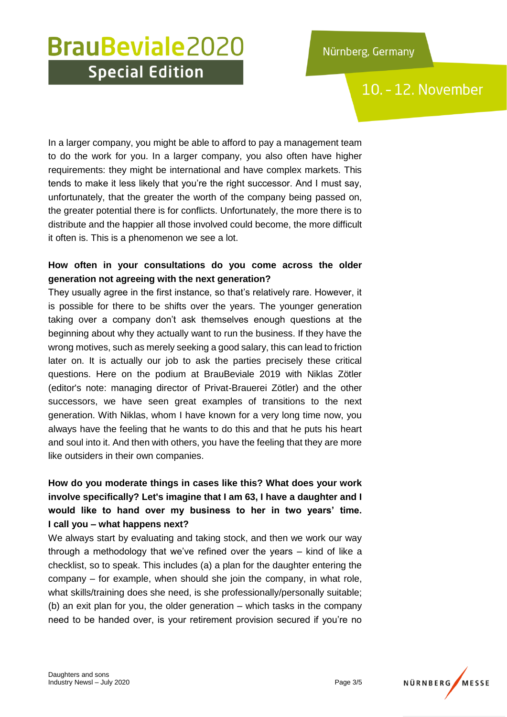10. - 12. November

In a larger company, you might be able to afford to pay a management team to do the work for you. In a larger company, you also often have higher requirements: they might be international and have complex markets. This tends to make it less likely that you're the right successor. And I must say, unfortunately, that the greater the worth of the company being passed on, the greater potential there is for conflicts. Unfortunately, the more there is to distribute and the happier all those involved could become, the more difficult it often is. This is a phenomenon we see a lot.

### **How often in your consultations do you come across the older generation not agreeing with the next generation?**

They usually agree in the first instance, so that's relatively rare. However, it is possible for there to be shifts over the years. The younger generation taking over a company don't ask themselves enough questions at the beginning about why they actually want to run the business. If they have the wrong motives, such as merely seeking a good salary, this can lead to friction later on. It is actually our job to ask the parties precisely these critical questions. Here on the podium at BrauBeviale 2019 with Niklas Zötler (editor's note: managing director of Privat-Brauerei Zötler) and the other successors, we have seen great examples of transitions to the next generation. With Niklas, whom I have known for a very long time now, you always have the feeling that he wants to do this and that he puts his heart and soul into it. And then with others, you have the feeling that they are more like outsiders in their own companies.

**How do you moderate things in cases like this? What does your work involve specifically? Let's imagine that I am 63, I have a daughter and I would like to hand over my business to her in two years' time. I call you – what happens next?**

We always start by evaluating and taking stock, and then we work our way through a methodology that we've refined over the years – kind of like a checklist, so to speak. This includes (a) a plan for the daughter entering the company – for example, when should she join the company, in what role, what skills/training does she need, is she professionally/personally suitable; (b) an exit plan for you, the older generation – which tasks in the company need to be handed over, is your retirement provision secured if you're no

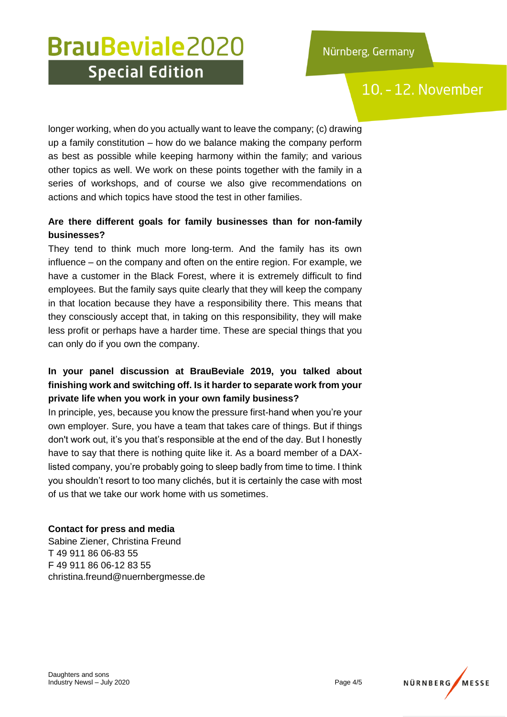### 10. - 12. November

longer working, when do you actually want to leave the company; (c) drawing up a family constitution – how do we balance making the company perform as best as possible while keeping harmony within the family; and various other topics as well. We work on these points together with the family in a series of workshops, and of course we also give recommendations on actions and which topics have stood the test in other families.

### **Are there different goals for family businesses than for non-family businesses?**

They tend to think much more long-term. And the family has its own influence – on the company and often on the entire region. For example, we have a customer in the Black Forest, where it is extremely difficult to find employees. But the family says quite clearly that they will keep the company in that location because they have a responsibility there. This means that they consciously accept that, in taking on this responsibility, they will make less profit or perhaps have a harder time. These are special things that you can only do if you own the company.

### **In your panel discussion at BrauBeviale 2019, you talked about finishing work and switching off. Is it harder to separate work from your private life when you work in your own family business?**

In principle, yes, because you know the pressure first-hand when you're your own employer. Sure, you have a team that takes care of things. But if things don't work out, it's you that's responsible at the end of the day. But I honestly have to say that there is nothing quite like it. As a board member of a DAXlisted company, you're probably going to sleep badly from time to time. I think you shouldn't resort to too many clichés, but it is certainly the case with most of us that we take our work home with us sometimes.

#### **Contact for press and media**

Sabine Ziener, Christina Freund T 49 911 86 06-83 55 F 49 911 86 06-12 83 55 christina.freund@nuernbergmesse.de